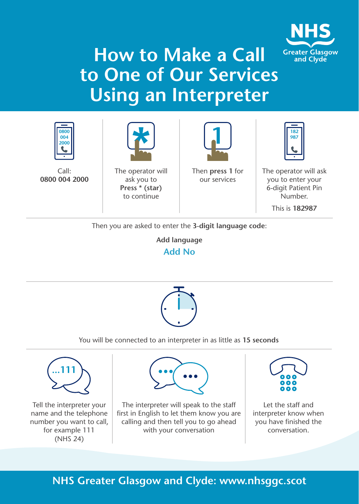

# **How to Make a Call to One of Our Services Using an Interpreter**



Call: **0800 004 2000**



The operator will ask you to **Press \* (star)** to continue



Then **press 1** for our services



The operator will ask you to enter your 6-digit Patient Pin Number.

This is **182987**

Then you are asked to enter the **3-digit language code**:

**Add language Add No**



#### You will be connected to an interpreter in as little as **15 seconds**



Tell the interpreter your name and the telephone number you want to call, for example 111 (NHS 24)



The interpreter will speak to the staff first in English to let them know you are calling and then tell you to go ahead with your conversation



Let the staff and interpreter know when you have finished the conversation.

### **NHS Greater Glasgow and Clyde: www.nhsggc.scot**